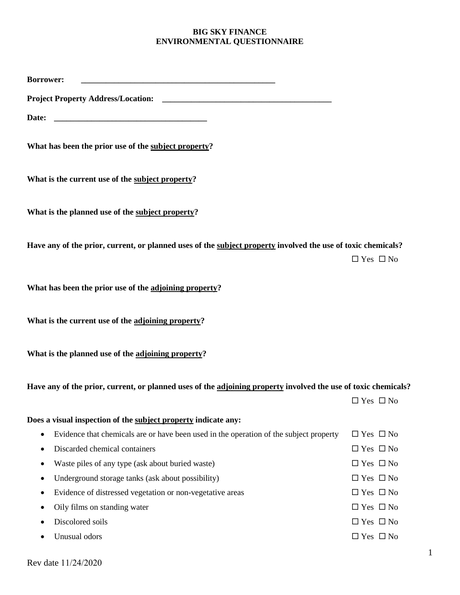## **BIG SKY FINANCE ENVIRONMENTAL QUESTIONNAIRE**

| <b>Borrower:</b>                                                                                               |                      |  |  |
|----------------------------------------------------------------------------------------------------------------|----------------------|--|--|
|                                                                                                                |                      |  |  |
| Date:                                                                                                          |                      |  |  |
| What has been the prior use of the subject property?                                                           |                      |  |  |
| What is the current use of the subject property?                                                               |                      |  |  |
| What is the planned use of the subject property?                                                               |                      |  |  |
| Have any of the prior, current, or planned uses of the subject property involved the use of toxic chemicals?   | $\Box$ Yes $\Box$ No |  |  |
| What has been the prior use of the adjoining property?                                                         |                      |  |  |
| What is the current use of the adjoining property?                                                             |                      |  |  |
| What is the planned use of the adjoining property?                                                             |                      |  |  |
| Have any of the prior, current, or planned uses of the adjoining property involved the use of toxic chemicals? |                      |  |  |
|                                                                                                                | $\Box$ Yes $\Box$ No |  |  |
| Does a visual inspection of the subject property indicate any:                                                 |                      |  |  |
| Evidence that chemicals are or have been used in the operation of the subject property<br>٠                    | $\Box$ Yes $\Box$ No |  |  |
| Discarded chemical containers<br>٠                                                                             | $\Box$ Yes $\Box$ No |  |  |
| Waste piles of any type (ask about buried waste)<br>٠                                                          | $\Box$ Yes $\Box$ No |  |  |
| Underground storage tanks (ask about possibility)<br>٠                                                         | $\Box$ Yes $\Box$ No |  |  |
| Evidence of distressed vegetation or non-vegetative areas<br>٠                                                 | $\Box$ Yes $\Box$ No |  |  |
| Oily films on standing water<br>٠                                                                              | $\Box$ Yes $\Box$ No |  |  |
| Discolored soils                                                                                               | $\Box$ Yes $\Box$ No |  |  |
| Unusual odors                                                                                                  | $\Box$ Yes $\Box$ No |  |  |